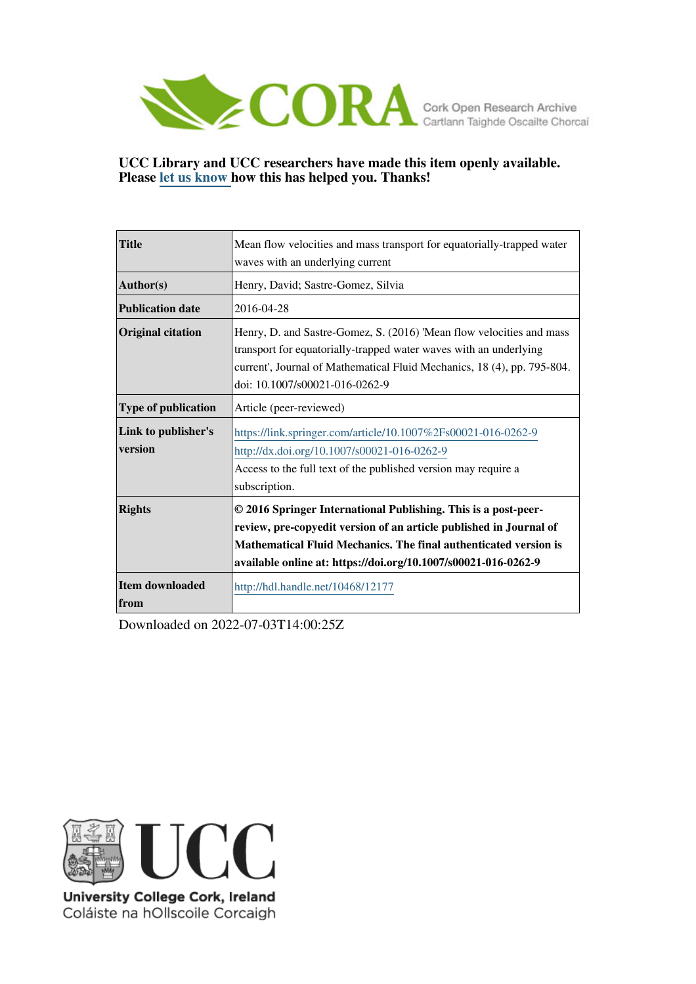

## **UCC Library and UCC researchers have made this item openly available. Please [let us know h](https://libguides.ucc.ie/openaccess/impact?suffix=12177&title=Mean flow velocities and mass transport for equatorially-trapped water waves with an underlying current)ow this has helped you. Thanks!**

| <b>Title</b>                   | Mean flow velocities and mass transport for equatorially-trapped water                                                                                                                                                                                                     |
|--------------------------------|----------------------------------------------------------------------------------------------------------------------------------------------------------------------------------------------------------------------------------------------------------------------------|
|                                | waves with an underlying current                                                                                                                                                                                                                                           |
| Author(s)                      | Henry, David; Sastre-Gomez, Silvia                                                                                                                                                                                                                                         |
| <b>Publication date</b>        | 2016-04-28                                                                                                                                                                                                                                                                 |
| <b>Original citation</b>       | Henry, D. and Sastre-Gomez, S. (2016) 'Mean flow velocities and mass<br>transport for equatorially-trapped water waves with an underlying<br>current', Journal of Mathematical Fluid Mechanics, 18 (4), pp. 795-804.<br>doi: 10.1007/s00021-016-0262-9                     |
| <b>Type of publication</b>     | Article (peer-reviewed)                                                                                                                                                                                                                                                    |
| Link to publisher's<br>version | https://link.springer.com/article/10.1007%2Fs00021-016-0262-9<br>http://dx.doi.org/10.1007/s00021-016-0262-9<br>Access to the full text of the published version may require a<br>subscription.                                                                            |
| <b>Rights</b>                  | © 2016 Springer International Publishing. This is a post-peer-<br>review, pre-copyedit version of an article published in Journal of<br>Mathematical Fluid Mechanics. The final authenticated version is<br>available online at: https://doi.org/10.1007/s00021-016-0262-9 |
| <b>Item downloaded</b><br>from | http://hdl.handle.net/10468/12177                                                                                                                                                                                                                                          |

Downloaded on 2022-07-03T14:00:25Z



University College Cork, Ireland Coláiste na hOllscoile Corcaigh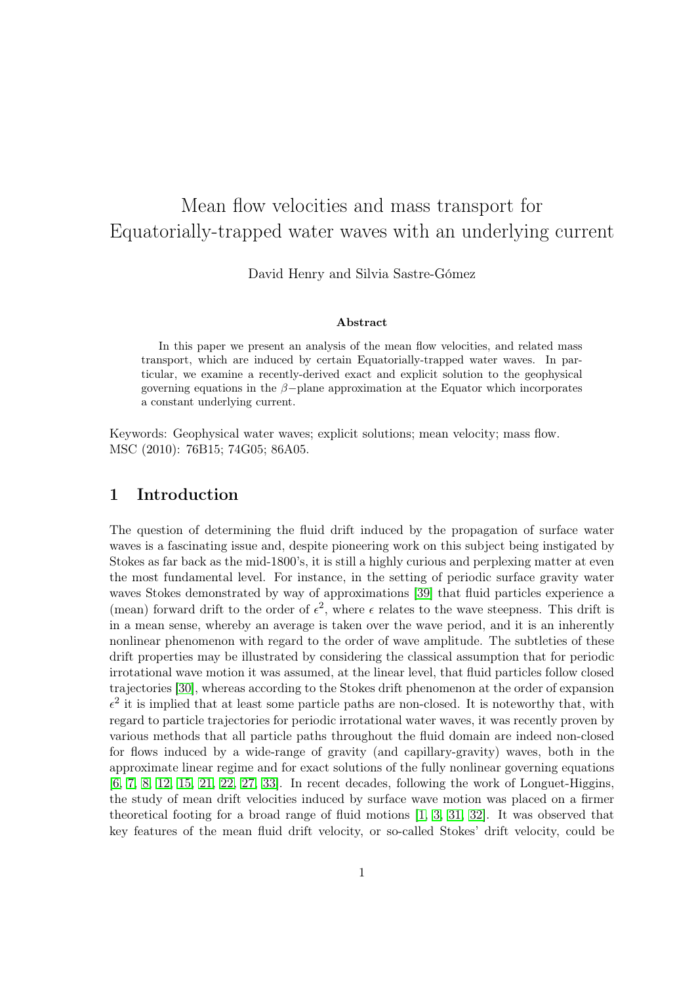# Mean flow velocities and mass transport for Equatorially-trapped water waves with an underlying current

David Henry and Silvia Sastre-Gómez

#### Abstract

In this paper we present an analysis of the mean flow velocities, and related mass transport, which are induced by certain Equatorially-trapped water waves. In particular, we examine a recently-derived exact and explicit solution to the geophysical governing equations in the  $\beta$ -plane approximation at the Equator which incorporates a constant underlying current.

Keywords: Geophysical water waves; explicit solutions; mean velocity; mass flow. MSC (2010): 76B15; 74G05; 86A05.

### 1 Introduction

The question of determining the fluid drift induced by the propagation of surface water waves is a fascinating issue and, despite pioneering work on this subject being instigated by Stokes as far back as the mid-1800's, it is still a highly curious and perplexing matter at even the most fundamental level. For instance, in the setting of periodic surface gravity water waves Stokes demonstrated by way of approximations [\[39\]](#page-13-0) that fluid particles experience a (mean) forward drift to the order of  $\epsilon^2$ , where  $\epsilon$  relates to the wave steepness. This drift is in a mean sense, whereby an average is taken over the wave period, and it is an inherently nonlinear phenomenon with regard to the order of wave amplitude. The subtleties of these drift properties may be illustrated by considering the classical assumption that for periodic irrotational wave motion it was assumed, at the linear level, that fluid particles follow closed trajectories [\[30\]](#page-12-0), whereas according to the Stokes drift phenomenon at the order of expansion  $\epsilon^2$  it is implied that at least some particle paths are non-closed. It is noteworthy that, with regard to particle trajectories for periodic irrotational water waves, it was recently proven by various methods that all particle paths throughout the fluid domain are indeed non-closed for flows induced by a wide-range of gravity (and capillary-gravity) waves, both in the approximate linear regime and for exact solutions of the fully nonlinear governing equations [\[6,](#page-11-0) [7,](#page-11-1) [8,](#page-11-2) [12,](#page-11-3) [15,](#page-12-1) [21,](#page-12-2) [22,](#page-12-3) [27,](#page-12-4) [33\]](#page-13-1). In recent decades, following the work of Longuet-Higgins, the study of mean drift velocities induced by surface wave motion was placed on a firmer theoretical footing for a broad range of fluid motions [\[1,](#page-11-4) [3,](#page-11-5) [31,](#page-12-5) [32\]](#page-13-2). It was observed that key features of the mean fluid drift velocity, or so-called Stokes' drift velocity, could be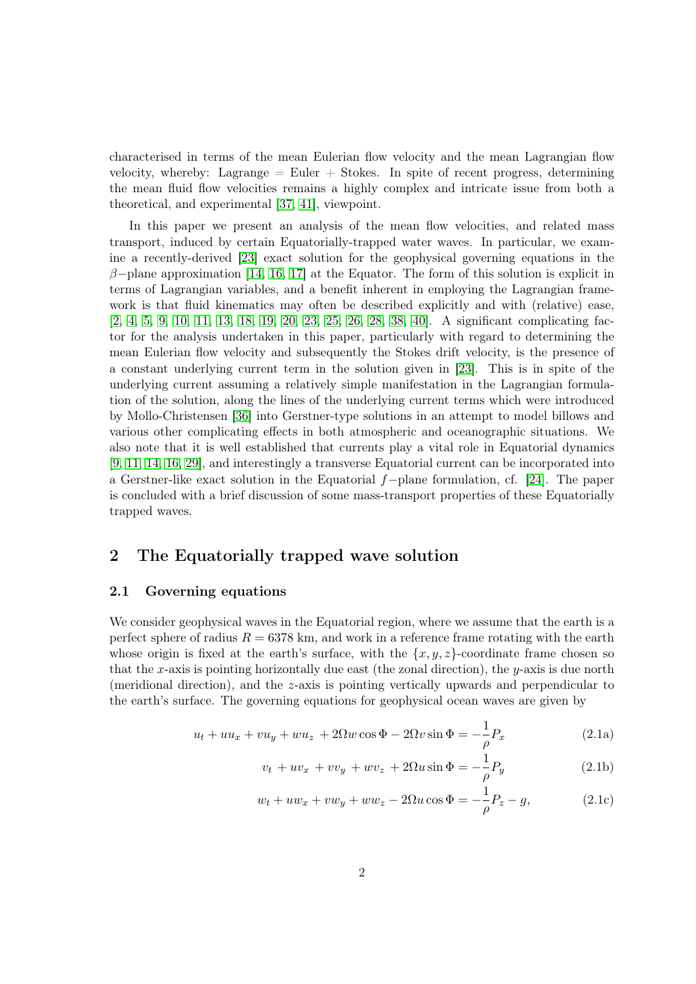characterised in terms of the mean Eulerian flow velocity and the mean Lagrangian flow velocity, whereby: Lagrange  $=$  Euler  $+$  Stokes. In spite of recent progress, determining the mean fluid flow velocities remains a highly complex and intricate issue from both a theoretical, and experimental [\[37,](#page-13-3) [41\]](#page-13-4), viewpoint.

In this paper we present an analysis of the mean flow velocities, and related mass transport, induced by certain Equatorially-trapped water waves. In particular, we examine a recently-derived [\[23\]](#page-12-6) exact solution for the geophysical governing equations in the  $\beta$ -plane approximation [\[14,](#page-12-7) [16,](#page-12-8) [17\]](#page-12-9) at the Equator. The form of this solution is explicit in terms of Lagrangian variables, and a benefit inherent in employing the Lagrangian framework is that fluid kinematics may often be described explicitly and with (relative) ease, [\[2,](#page-11-6) [4,](#page-11-7) [5,](#page-11-8) [9,](#page-11-9) [10,](#page-11-10) [11,](#page-11-11) [13,](#page-11-12) [18,](#page-12-10) [19,](#page-12-11) [20,](#page-12-12) [23,](#page-12-6) [25,](#page-12-13) [26,](#page-12-14) [28,](#page-12-15) [38,](#page-13-5) [40\]](#page-13-6). A significant complicating factor for the analysis undertaken in this paper, particularly with regard to determining the mean Eulerian flow velocity and subsequently the Stokes drift velocity, is the presence of a constant underlying current term in the solution given in [\[23\]](#page-12-6). This is in spite of the underlying current assuming a relatively simple manifestation in the Lagrangian formulation of the solution, along the lines of the underlying current terms which were introduced by Mollo-Christensen [\[36\]](#page-13-7) into Gerstner-type solutions in an attempt to model billows and various other complicating effects in both atmospheric and oceanographic situations. We also note that it is well established that currents play a vital role in Equatorial dynamics [\[9,](#page-11-9) [11,](#page-11-11) [14,](#page-12-7) [16,](#page-12-8) [29\]](#page-12-16), and interestingly a transverse Equatorial current can be incorporated into a Gerstner-like exact solution in the Equatorial f−plane formulation, cf. [\[24\]](#page-12-17). The paper is concluded with a brief discussion of some mass-transport properties of these Equatorially trapped waves.

# 2 The Equatorially trapped wave solution

### 2.1 Governing equations

We consider geophysical waves in the Equatorial region, where we assume that the earth is a perfect sphere of radius  $R = 6378$  km, and work in a reference frame rotating with the earth whose origin is fixed at the earth's surface, with the  $\{x, y, z\}$ -coordinate frame chosen so that the x-axis is pointing horizontally due east (the zonal direction), the  $y$ -axis is due north (meridional direction), and the z-axis is pointing vertically upwards and perpendicular to the earth's surface. The governing equations for geophysical ocean waves are given by

$$
u_t + uu_x + vu_y + wu_z + 2\Omega w \cos \Phi - 2\Omega v \sin \Phi = -\frac{1}{\rho} P_x \tag{2.1a}
$$

<span id="page-2-0"></span>
$$
v_t + uv_x + vv_y + wv_z + 2\Omega u \sin \Phi = -\frac{1}{\rho} P_y \tag{2.1b}
$$

$$
w_t + uw_x + vw_y + ww_z - 2\Omega u \cos \Phi = -\frac{1}{\rho}P_z - g,\tag{2.1c}
$$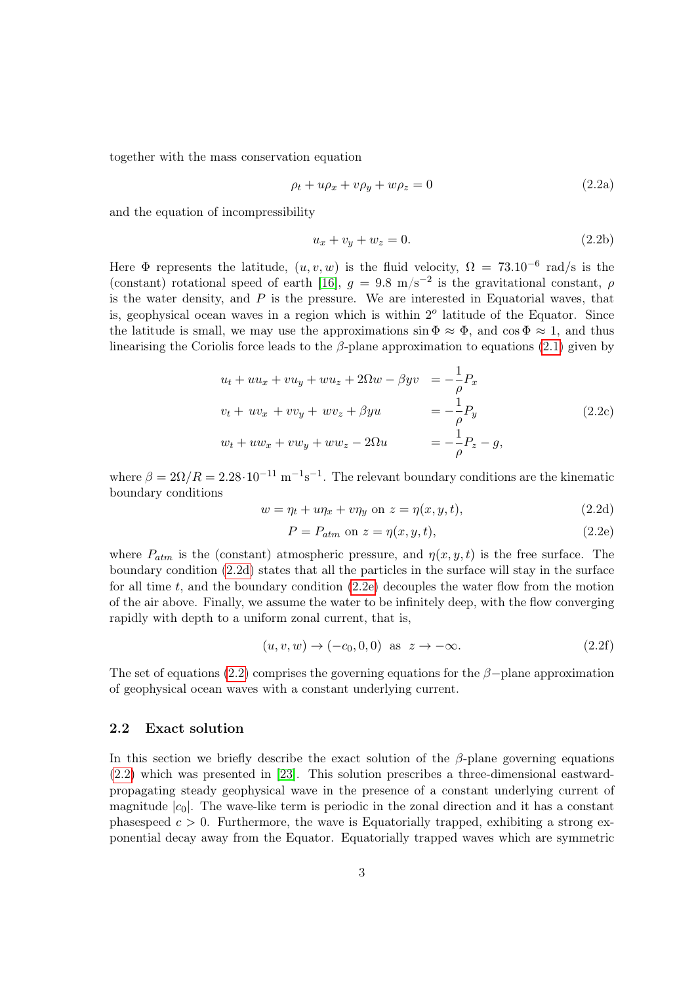together with the mass conservation equation

<span id="page-3-2"></span>
$$
\rho_t + u\rho_x + v\rho_y + w\rho_z = 0\tag{2.2a}
$$

and the equation of incompressibility

<span id="page-3-3"></span>
$$
u_x + v_y + w_z = 0.
$$
 (2.2b)

Here  $\Phi$  represents the latitude,  $(u, v, w)$  is the fluid velocity,  $\Omega = 73.10^{-6}$  rad/s is the (constant) rotational speed of earth [\[16\]](#page-12-8),  $g = 9.8 \text{ m/s}^{-2}$  is the gravitational constant,  $\rho$ is the water density, and  $P$  is the pressure. We are interested in Equatorial waves, that is, geophysical ocean waves in a region which is within  $2<sup>o</sup>$  latitude of the Equator. Since the latitude is small, we may use the approximations  $\sin \Phi \approx \Phi$ , and  $\cos \Phi \approx 1$ , and thus linearising the Coriolis force leads to the  $\beta$ -plane approximation to equations [\(2.1\)](#page-2-0) given by

$$
u_t + uu_x + vu_y + wu_z + 2\Omega w - \beta yv = -\frac{1}{\rho} P_x
$$
  

$$
v_t + uv_x + vv_y + wv_z + \beta yu = -\frac{1}{\rho} P_y
$$
  

$$
w_t + uw_x + vw_y + ww_z - 2\Omega u = -\frac{1}{\rho} P_z - g,
$$
  
(2.2c)

where  $\beta = 2\Omega/R = 2.28 \cdot 10^{-11} \text{ m}^{-1} \text{s}^{-1}$ . The relevant boundary conditions are the kinematic boundary conditions

<span id="page-3-0"></span>
$$
w = \eta_t + u\eta_x + v\eta_y \text{ on } z = \eta(x, y, t),\tag{2.2d}
$$

<span id="page-3-1"></span>
$$
P = P_{atm} \text{ on } z = \eta(x, y, t),\tag{2.2e}
$$

where  $P_{atm}$  is the (constant) atmospheric pressure, and  $\eta(x, y, t)$  is the free surface. The boundary condition [\(2.2d\)](#page-3-0) states that all the particles in the surface will stay in the surface for all time t, and the boundary condition  $(2.2e)$  decouples the water flow from the motion of the air above. Finally, we assume the water to be infinitely deep, with the flow converging rapidly with depth to a uniform zonal current, that is,

$$
(u, v, w) \rightarrow (-c_0, 0, 0) \text{ as } z \rightarrow -\infty. \tag{2.2f}
$$

The set of equations [\(2.2\)](#page-3-2) comprises the governing equations for the  $\beta$ −plane approximation of geophysical ocean waves with a constant underlying current.

#### 2.2 Exact solution

In this section we briefly describe the exact solution of the  $\beta$ -plane governing equations [\(2.2\)](#page-3-2) which was presented in [\[23\]](#page-12-6). This solution prescribes a three-dimensional eastwardpropagating steady geophysical wave in the presence of a constant underlying current of magnitude  $|c_0|$ . The wave-like term is periodic in the zonal direction and it has a constant phasespeed  $c > 0$ . Furthermore, the wave is Equatorially trapped, exhibiting a strong exponential decay away from the Equator. Equatorially trapped waves which are symmetric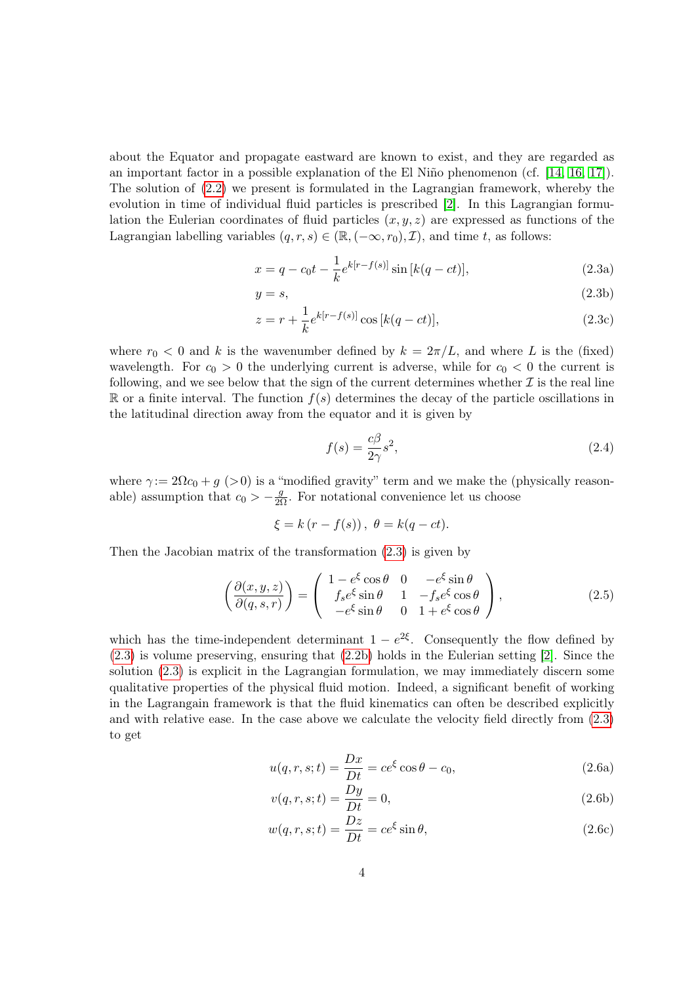about the Equator and propagate eastward are known to exist, and they are regarded as an important factor in a possible explanation of the El Niño phenomenon (cf. [\[14,](#page-12-7) [16,](#page-12-8) [17\]](#page-12-9)). The solution of [\(2.2\)](#page-3-2) we present is formulated in the Lagrangian framework, whereby the evolution in time of individual fluid particles is prescribed [\[2\]](#page-11-6). In this Lagrangian formulation the Eulerian coordinates of fluid particles  $(x, y, z)$  are expressed as functions of the Lagrangian labelling variables  $(q, r, s) \in (\mathbb{R}, (-\infty, r_0), \mathcal{I})$ , and time t, as follows:

<span id="page-4-0"></span>
$$
x = q - c_0 t - \frac{1}{k} e^{k[r - f(s)]} \sin [k(q - ct)], \qquad (2.3a)
$$

$$
y = s,\tag{2.3b}
$$

$$
z = r + \frac{1}{k} e^{k[r - f(s)]} \cos[k(q - ct)],
$$
\n(2.3c)

where  $r_0 < 0$  and k is the wavenumber defined by  $k = 2\pi/L$ , and where L is the (fixed) wavelength. For  $c_0 > 0$  the underlying current is adverse, while for  $c_0 < 0$  the current is following, and we see below that the sign of the current determines whether  $\mathcal I$  is the real line  $\mathbb R$  or a finite interval. The function  $f(s)$  determines the decay of the particle oscillations in the latitudinal direction away from the equator and it is given by

<span id="page-4-4"></span><span id="page-4-1"></span>
$$
f(s) = \frac{c\beta}{2\gamma}s^2,\tag{2.4}
$$

where  $\gamma := 2\Omega c_0 + g$  (>0) is a "modified gravity" term and we make the (physically reasonable) assumption that  $c_0 > -\frac{g}{2\Omega}$ . For notational convenience let us choose

$$
\xi = k(r - f(s)), \ \theta = k(q - ct).
$$

Then the Jacobian matrix of the transformation [\(2.3\)](#page-4-0) is given by

$$
\left(\frac{\partial(x,y,z)}{\partial(q,s,r)}\right) = \begin{pmatrix} 1 - e^{\xi}\cos\theta & 0 & -e^{\xi}\sin\theta\\ f_s e^{\xi}\sin\theta & 1 & -f_s e^{\xi}\cos\theta\\ -e^{\xi}\sin\theta & 0 & 1 + e^{\xi}\cos\theta \end{pmatrix},
$$
\n(2.5)

<span id="page-4-3"></span>which has the time-independent determinant  $1 - e^{2\xi}$ . Consequently the flow defined by [\(2.3\)](#page-4-0) is volume preserving, ensuring that [\(2.2b\)](#page-3-3) holds in the Eulerian setting [\[2\]](#page-11-6). Since the solution [\(2.3\)](#page-4-0) is explicit in the Lagrangian formulation, we may immediately discern some qualitative properties of the physical fluid motion. Indeed, a significant benefit of working in the Lagrangain framework is that the fluid kinematics can often be described explicitly and with relative ease. In the case above we calculate the velocity field directly from [\(2.3\)](#page-4-0) to get

<span id="page-4-2"></span>
$$
u(q,r,s;t) = \frac{Dx}{Dt} = ce^{\xi}\cos\theta - c_0,
$$
\n(2.6a)

$$
v(q, r, s; t) = \frac{Dy}{Dt} = 0,
$$
\n(2.6b)

$$
w(q, r, s; t) = \frac{Dz}{Dt} = ce^{\xi} \sin \theta,
$$
\n(2.6c)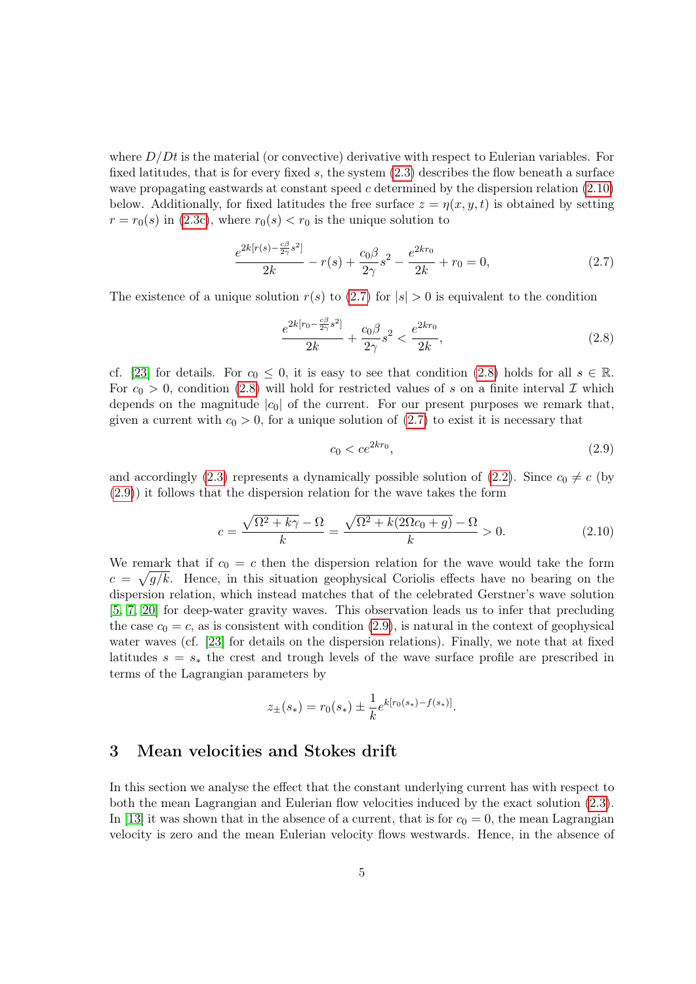where  $D/Dt$  is the material (or convective) derivative with respect to Eulerian variables. For fixed latitudes, that is for every fixed s, the system  $(2.3)$  describes the flow beneath a surface wave propagating eastwards at constant speed c determined by the dispersion relation  $(2.10)$ below. Additionally, for fixed latitudes the free surface  $z = \eta(x, y, t)$  is obtained by setting  $r = r_0(s)$  in [\(2.3c\)](#page-4-1), where  $r_0(s) < r_0$  is the unique solution to

<span id="page-5-1"></span>
$$
\frac{e^{2k[r(s)-\frac{c\beta}{2\gamma}s^2]}}{2k} - r(s) + \frac{c_0\beta}{2\gamma}s^2 - \frac{e^{2kr_0}}{2k} + r_0 = 0,
$$
\n(2.7)

The existence of a unique solution  $r(s)$  to  $(2.7)$  for  $|s| > 0$  is equivalent to the condition

<span id="page-5-2"></span>
$$
\frac{e^{2k[r_0 - \frac{c\beta}{2\gamma}s^2]}}{2k} + \frac{c_0\beta}{2\gamma}s^2 < \frac{e^{2kr_0}}{2k},\tag{2.8}
$$

cf. [\[23\]](#page-12-6) for details. For  $c_0 \leq 0$ , it is easy to see that condition [\(2.8\)](#page-5-2) holds for all  $s \in \mathbb{R}$ . For  $c_0 > 0$ , condition [\(2.8\)](#page-5-2) will hold for restricted values of s on a finite interval  $\mathcal I$  which depends on the magnitude  $|c_0|$  of the current. For our present purposes we remark that, given a current with  $c_0 > 0$ , for a unique solution of [\(2.7\)](#page-5-1) to exist it is necessary that

<span id="page-5-3"></span>
$$
c_0 < ce^{2kr_0},\tag{2.9}
$$

and accordingly [\(2.3\)](#page-4-0) represents a dynamically possible solution of [\(2.2\)](#page-3-2). Since  $c_0 \neq c$  (by [\(2.9\)](#page-5-3)) it follows that the dispersion relation for the wave takes the form

<span id="page-5-0"></span>
$$
c = \frac{\sqrt{\Omega^2 + k\gamma} - \Omega}{k} = \frac{\sqrt{\Omega^2 + k(2\Omega c_0 + g)} - \Omega}{k} > 0.
$$
\n(2.10)

We remark that if  $c_0 = c$  then the dispersion relation for the wave would take the form  $c = \sqrt{g/k}$ . Hence, in this situation geophysical Coriolis effects have no bearing on the dispersion relation, which instead matches that of the celebrated Gerstner's wave solution [\[5,](#page-11-8) [7,](#page-11-1) [20\]](#page-12-12) for deep-water gravity waves. This observation leads us to infer that precluding the case  $c_0 = c$ , as is consistent with condition [\(2.9\)](#page-5-3), is natural in the context of geophysical water waves (cf. [\[23\]](#page-12-6) for details on the dispersion relations). Finally, we note that at fixed latitudes  $s = s_*$  the crest and trough levels of the wave surface profile are prescribed in terms of the Lagrangian parameters by

$$
z_{\pm}(s_*) = r_0(s_*) \pm \frac{1}{k} e^{k[r_0(s_*) - f(s_*)]}.
$$

## 3 Mean velocities and Stokes drift

In this section we analyse the effect that the constant underlying current has with respect to both the mean Lagrangian and Eulerian flow velocities induced by the exact solution [\(2.3\)](#page-4-0). In [\[13\]](#page-11-12) it was shown that in the absence of a current, that is for  $c_0 = 0$ , the mean Lagrangian velocity is zero and the mean Eulerian velocity flows westwards. Hence, in the absence of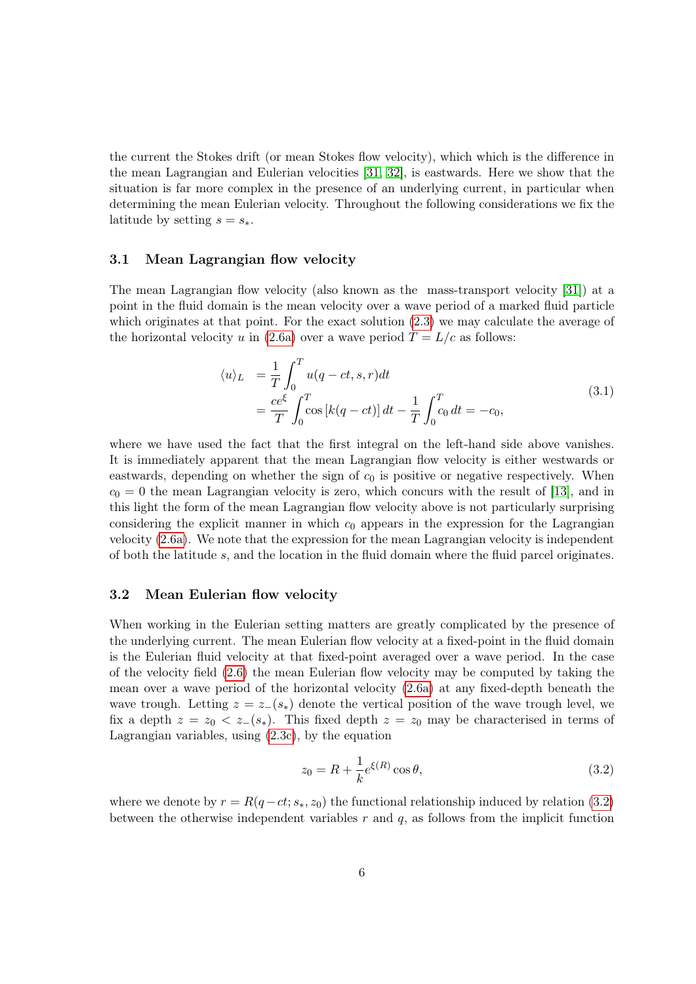the current the Stokes drift (or mean Stokes flow velocity), which which is the difference in the mean Lagrangian and Eulerian velocities [\[31,](#page-12-5) [32\]](#page-13-2), is eastwards. Here we show that the situation is far more complex in the presence of an underlying current, in particular when determining the mean Eulerian velocity. Throughout the following considerations we fix the latitude by setting  $s = s_*$ .

#### 3.1 Mean Lagrangian flow velocity

The mean Lagrangian flow velocity (also known as the mass-transport velocity [\[31\]](#page-12-5)) at a point in the fluid domain is the mean velocity over a wave period of a marked fluid particle which originates at that point. For the exact solution  $(2.3)$  we may calculate the average of the horizontal velocity u in [\(2.6a\)](#page-4-2) over a wave period  $T = L/c$  as follows:

$$
\langle u \rangle_L = \frac{1}{T} \int_0^T u(q - ct, s, r) dt
$$
  
=  $\frac{ce^{\xi}}{T} \int_0^T \cos[k(q - ct)] dt - \frac{1}{T} \int_0^T c_0 dt = -c_0,$  (3.1)

where we have used the fact that the first integral on the left-hand side above vanishes. It is immediately apparent that the mean Lagrangian flow velocity is either westwards or eastwards, depending on whether the sign of  $c_0$  is positive or negative respectively. When  $c_0 = 0$  the mean Lagrangian velocity is zero, which concurs with the result of [\[13\]](#page-11-12), and in this light the form of the mean Lagrangian flow velocity above is not particularly surprising considering the explicit manner in which  $c_0$  appears in the expression for the Lagrangian velocity [\(2.6a\)](#page-4-2). We note that the expression for the mean Lagrangian velocity is independent of both the latitude s, and the location in the fluid domain where the fluid parcel originates.

#### 3.2 Mean Eulerian flow velocity

When working in the Eulerian setting matters are greatly complicated by the presence of the underlying current. The mean Eulerian flow velocity at a fixed-point in the fluid domain is the Eulerian fluid velocity at that fixed-point averaged over a wave period. In the case of the velocity field [\(2.6\)](#page-4-3) the mean Eulerian flow velocity may be computed by taking the mean over a wave period of the horizontal velocity [\(2.6a\)](#page-4-2) at any fixed-depth beneath the wave trough. Letting  $z = z_-(s_*)$  denote the vertical position of the wave trough level, we fix a depth  $z = z_0 < z_-(s_*)$ . This fixed depth  $z = z_0$  may be characterised in terms of Lagrangian variables, using [\(2.3c\)](#page-4-1), by the equation

<span id="page-6-0"></span>
$$
z_0 = R + \frac{1}{k} e^{\xi(R)} \cos \theta, \qquad (3.2)
$$

where we denote by  $r = R(q-ct; s_*, z_0)$  the functional relationship induced by relation [\(3.2\)](#page-6-0) between the otherwise independent variables  $r$  and  $q$ , as follows from the implicit function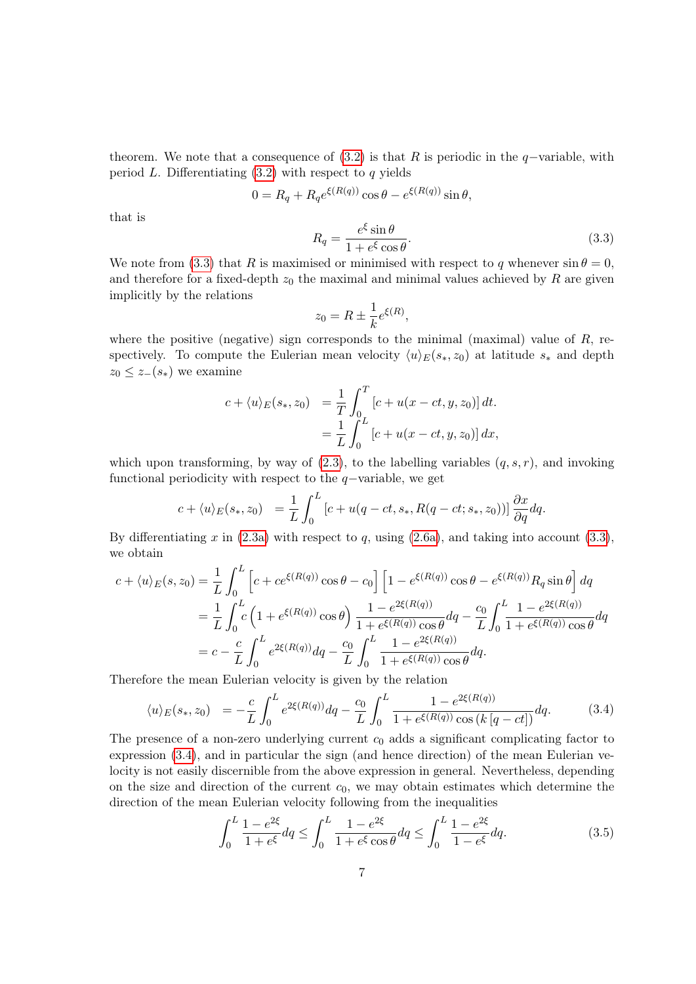theorem. We note that a consequence of  $(3.2)$  is that R is periodic in the q-variable, with period L. Differentiating  $(3.2)$  with respect to q yields

$$
0 = R_q + R_q e^{\xi(R(q))} \cos \theta - e^{\xi(R(q))} \sin \theta,
$$

that is

<span id="page-7-0"></span>
$$
R_q = \frac{e^{\xi} \sin \theta}{1 + e^{\xi} \cos \theta}.
$$
\n(3.3)

We note from [\(3.3\)](#page-7-0) that R is maximised or minimised with respect to q whenever  $\sin \theta = 0$ , and therefore for a fixed-depth  $z_0$  the maximal and minimal values achieved by R are given implicitly by the relations

$$
z_0 = R \pm \frac{1}{k} e^{\xi(R)},
$$

where the positive (negative) sign corresponds to the minimal (maximal) value of  $R$ , respectively. To compute the Eulerian mean velocity  $\langle u \rangle_E(s_*, z_0)$  at latitude  $s_*$  and depth  $z_0 \leq z_-(s_*)$  we examine

$$
c + \langle u \rangle_E(s_*, z_0) = \frac{1}{T} \int_0^T [c + u(x - ct, y, z_0)] dt.
$$
  
= 
$$
\frac{1}{L} \int_0^L [c + u(x - ct, y, z_0)] dx,
$$

which upon transforming, by way of  $(2.3)$ , to the labelling variables  $(q, s, r)$ , and invoking functional periodicity with respect to the  $q$ −variable, we get

$$
c + \langle u \rangle_E(s_*, z_0) = \frac{1}{L} \int_0^L \left[c + u(q - ct, s_*, R(q - ct; s_*, z_0))\right] \frac{\partial x}{\partial q} dq.
$$

By differentiating x in  $(2.3a)$  with respect to q, using  $(2.6a)$ , and taking into account  $(3.3)$ , we obtain

$$
c + \langle u \rangle_E(s, z_0) = \frac{1}{L} \int_0^L \left[ c + ce^{\xi(R(q))} \cos \theta - c_0 \right] \left[ 1 - e^{\xi(R(q))} \cos \theta - e^{\xi(R(q))} R_q \sin \theta \right] dq
$$
  

$$
= \frac{1}{L} \int_0^L c \left( 1 + e^{\xi(R(q))} \cos \theta \right) \frac{1 - e^{2\xi(R(q))}}{1 + e^{\xi(R(q))} \cos \theta} dq - \frac{c_0}{L} \int_0^L \frac{1 - e^{2\xi(R(q))}}{1 + e^{\xi(R(q))} \cos \theta} dq
$$
  

$$
= c - \frac{c}{L} \int_0^L e^{2\xi(R(q))} dq - \frac{c_0}{L} \int_0^L \frac{1 - e^{2\xi(R(q))}}{1 + e^{\xi(R(q))} \cos \theta} dq.
$$

Therefore the mean Eulerian velocity is given by the relation

<span id="page-7-1"></span>
$$
\langle u \rangle_E(s_*, z_0) = -\frac{c}{L} \int_0^L e^{2\xi(R(q))} dq - \frac{c_0}{L} \int_0^L \frac{1 - e^{2\xi(R(q))}}{1 + e^{\xi(R(q))} \cos(k[q - ct])} dq.
$$
 (3.4)

The presence of a non-zero underlying current  $c_0$  adds a significant complicating factor to expression [\(3.4\)](#page-7-1), and in particular the sign (and hence direction) of the mean Eulerian velocity is not easily discernible from the above expression in general. Nevertheless, depending on the size and direction of the current  $c_0$ , we may obtain estimates which determine the direction of the mean Eulerian velocity following from the inequalities

$$
\int_0^L \frac{1 - e^{2\xi}}{1 + e^{\xi}} dq \le \int_0^L \frac{1 - e^{2\xi}}{1 + e^{\xi} \cos \theta} dq \le \int_0^L \frac{1 - e^{2\xi}}{1 - e^{\xi}} dq.
$$
\n(3.5)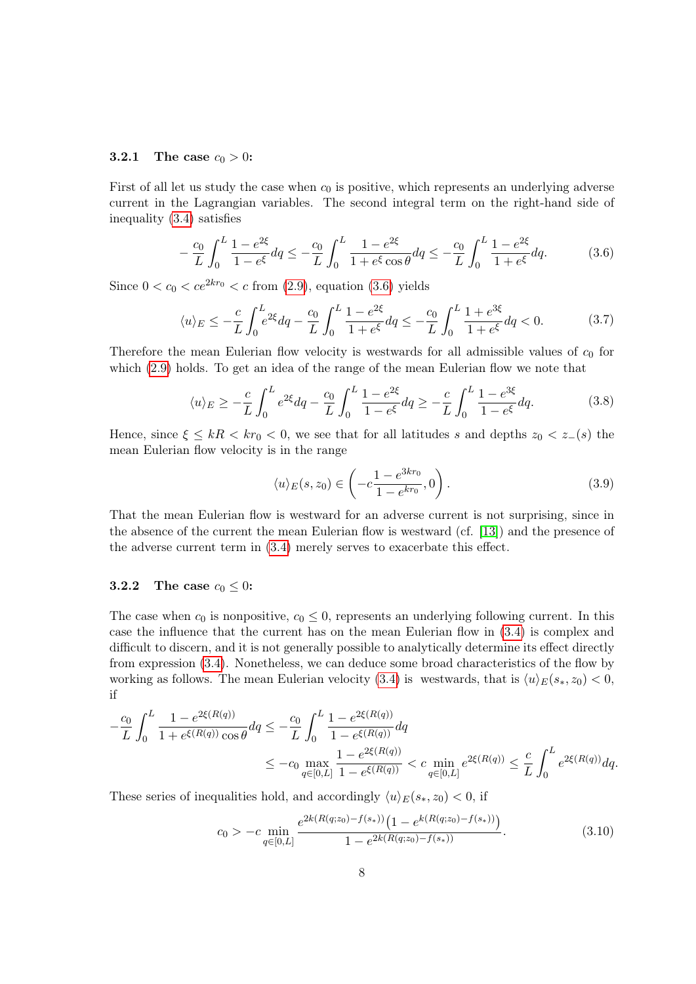#### **3.2.1** The case  $c_0 > 0$ :

First of all let us study the case when  $c_0$  is positive, which represents an underlying adverse current in the Lagrangian variables. The second integral term on the right-hand side of inequality [\(3.4\)](#page-7-1) satisfies

<span id="page-8-0"></span>
$$
-\frac{c_0}{L} \int_0^L \frac{1 - e^{2\xi}}{1 - e^{\xi}} dq \le -\frac{c_0}{L} \int_0^L \frac{1 - e^{2\xi}}{1 + e^{\xi} \cos \theta} dq \le -\frac{c_0}{L} \int_0^L \frac{1 - e^{2\xi}}{1 + e^{\xi}} dq.
$$
 (3.6)

Since  $0 < c_0 < ce^{2kr_0} < c$  from [\(2.9\)](#page-5-3), equation [\(3.6\)](#page-8-0) yields

$$
\langle u \rangle_E \le -\frac{c}{L} \int_0^L e^{2\xi} dq - \frac{c_0}{L} \int_0^L \frac{1 - e^{2\xi}}{1 + e^{\xi}} dq \le -\frac{c_0}{L} \int_0^L \frac{1 + e^{3\xi}}{1 + e^{\xi}} dq < 0. \tag{3.7}
$$

Therefore the mean Eulerian flow velocity is westwards for all admissible values of  $c_0$  for which [\(2.9\)](#page-5-3) holds. To get an idea of the range of the mean Eulerian flow we note that

$$
\langle u \rangle_E \ge -\frac{c}{L} \int_0^L e^{2\xi} dq - \frac{c_0}{L} \int_0^L \frac{1 - e^{2\xi}}{1 - e^{\xi}} dq \ge -\frac{c}{L} \int_0^L \frac{1 - e^{3\xi}}{1 - e^{\xi}} dq. \tag{3.8}
$$

Hence, since  $\xi \le kR < kr_0 < 0$ , we see that for all latitudes s and depths  $z_0 < z_-(s)$  the mean Eulerian flow velocity is in the range

$$
\langle u \rangle_E(s, z_0) \in \left( -c \frac{1 - e^{3kr_0}}{1 - e^{kr_0}}, 0 \right). \tag{3.9}
$$

That the mean Eulerian flow is westward for an adverse current is not surprising, since in the absence of the current the mean Eulerian flow is westward (cf. [\[13\]](#page-11-12)) and the presence of the adverse current term in [\(3.4\)](#page-7-1) merely serves to exacerbate this effect.

### 3.2.2 The case  $c_0 \leq 0$ :

The case when  $c_0$  is nonpositive,  $c_0 \leq 0$ , represents an underlying following current. In this case the influence that the current has on the mean Eulerian flow in [\(3.4\)](#page-7-1) is complex and difficult to discern, and it is not generally possible to analytically determine its effect directly from expression [\(3.4\)](#page-7-1). Nonetheless, we can deduce some broad characteristics of the flow by working as follows. The mean Eulerian velocity [\(3.4\)](#page-7-1) is westwards, that is  $\langle u \rangle_E(s_*, z_0) < 0$ , if

$$
-\frac{c_0}{L} \int_0^L \frac{1 - e^{2\xi(R(q))}}{1 + e^{\xi(R(q))}\cos\theta} dq \le -\frac{c_0}{L} \int_0^L \frac{1 - e^{2\xi(R(q))}}{1 - e^{\xi(R(q))}} dq
$$
  

$$
\le -c_0 \max_{q \in [0,L]} \frac{1 - e^{2\xi(R(q))}}{1 - e^{\xi(R(q))}} < c \min_{q \in [0,L]} e^{2\xi(R(q))} \le \frac{c}{L} \int_0^L e^{2\xi(R(q))} dq.
$$

These series of inequalities hold, and accordingly  $\langle u \rangle_E(s_*, z_0) < 0$ , if

<span id="page-8-1"></span>
$$
c_0 > -c \min_{q \in [0,L]} \frac{e^{2k(R(q;z_0) - f(s_*))} \left(1 - e^{k(R(q;z_0) - f(s_*))}\right)}{1 - e^{2k(R(q;z_0) - f(s_*))}}.
$$
\n(3.10)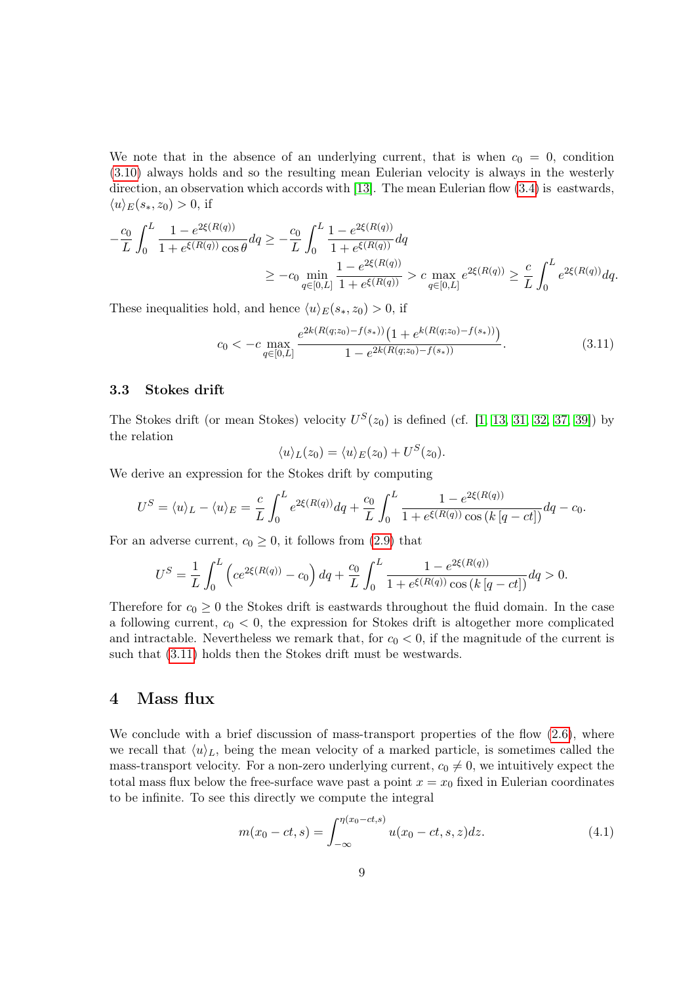We note that in the absence of an underlying current, that is when  $c_0 = 0$ , condition [\(3.10\)](#page-8-1) always holds and so the resulting mean Eulerian velocity is always in the westerly direction, an observation which accords with [\[13\]](#page-11-12). The mean Eulerian flow  $(3.4)$  is eastwards,  $\langle u \rangle_E(s_*, z_0) > 0$ , if

$$
-\frac{c_0}{L} \int_0^L \frac{1 - e^{2\xi(R(q))}}{1 + e^{\xi(R(q))}\cos\theta} dq \ge -\frac{c_0}{L} \int_0^L \frac{1 - e^{2\xi(R(q))}}{1 + e^{\xi(R(q))}} dq
$$
  

$$
\ge -c_0 \min_{q \in [0,L]} \frac{1 - e^{2\xi(R(q))}}{1 + e^{\xi(R(q))}} > c \max_{q \in [0,L]} e^{2\xi(R(q))} \ge \frac{c}{L} \int_0^L e^{2\xi(R(q))} dq.
$$

These inequalities hold, and hence  $\langle u \rangle_E(s_*, z_0) > 0$ , if

<span id="page-9-0"></span>
$$
c_0 < -c \max_{q \in [0,L]} \frac{e^{2k(R(q;z_0) - f(s_*))} \left(1 + e^{k(R(q;z_0) - f(s_*))}\right)}{1 - e^{2k(R(q;z_0) - f(s_*))}}.
$$
\n(3.11)

### 3.3 Stokes drift

The Stokes drift (or mean Stokes) velocity  $U^S(z_0)$  is defined (cf. [\[1,](#page-11-4) [13,](#page-11-12) [31,](#page-12-5) [32,](#page-13-2) [37,](#page-13-3) [39\]](#page-13-0)) by the relation

$$
\langle u \rangle_L(z_0) = \langle u \rangle_E(z_0) + U^S(z_0).
$$

We derive an expression for the Stokes drift by computing

$$
U^{S} = \langle u \rangle_{L} - \langle u \rangle_{E} = \frac{c}{L} \int_{0}^{L} e^{2\xi(R(q))} dq + \frac{c_{0}}{L} \int_{0}^{L} \frac{1 - e^{2\xi(R(q))}}{1 + e^{\xi(R(q))} \cos(k[q - ct])} dq - c_{0}.
$$

For an adverse current,  $c_0 \geq 0$ , it follows from [\(2.9\)](#page-5-3) that

$$
U^S = \frac{1}{L} \int_0^L \left( c e^{2\xi(R(q))} - c_0 \right) dq + \frac{c_0}{L} \int_0^L \frac{1 - e^{2\xi(R(q))}}{1 + e^{\xi(R(q))} \cos\left(k\left[q - ct\right]\right)} dq > 0.
$$

Therefore for  $c_0 \geq 0$  the Stokes drift is eastwards throughout the fluid domain. In the case a following current,  $c_0 < 0$ , the expression for Stokes drift is altogether more complicated and intractable. Nevertheless we remark that, for  $c_0 < 0$ , if the magnitude of the current is such that [\(3.11\)](#page-9-0) holds then the Stokes drift must be westwards.

### 4 Mass flux

We conclude with a brief discussion of mass-transport properties of the flow  $(2.6)$ , where we recall that  $\langle u \rangle_L$ , being the mean velocity of a marked particle, is sometimes called the mass-transport velocity. For a non-zero underlying current,  $c_0 \neq 0$ , we intuitively expect the total mass flux below the free-surface wave past a point  $x = x_0$  fixed in Eulerian coordinates to be infinite. To see this directly we compute the integral

$$
m(x_0 - ct, s) = \int_{-\infty}^{\eta(x_0 - ct, s)} u(x_0 - ct, s, z) dz.
$$
 (4.1)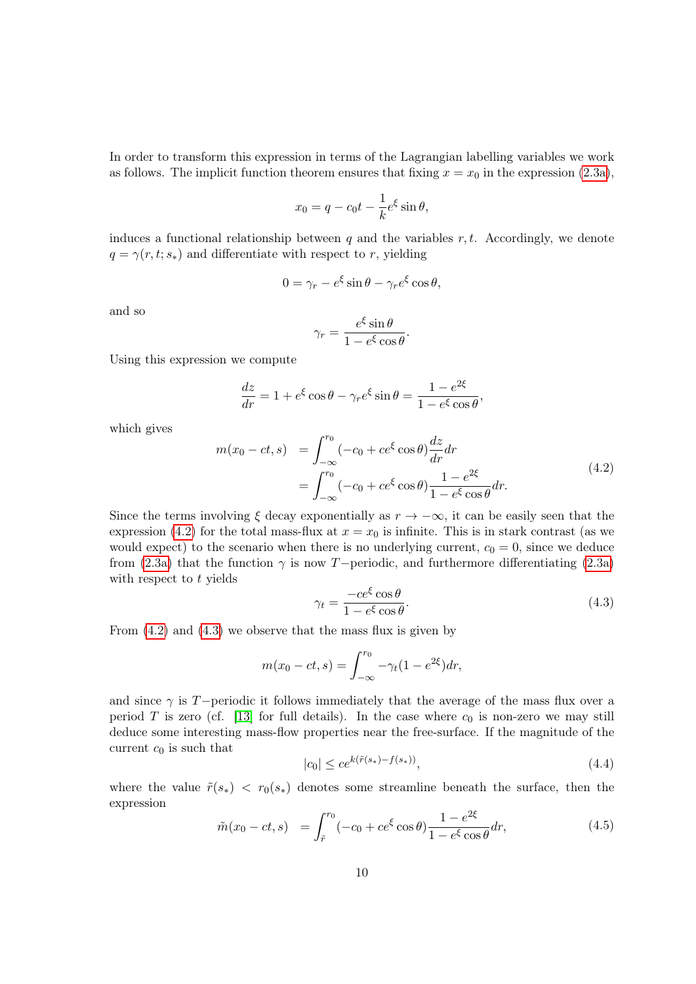In order to transform this expression in terms of the Lagrangian labelling variables we work as follows. The implicit function theorem ensures that fixing  $x = x_0$  in the expression [\(2.3a\)](#page-4-4),

$$
x_0 = q - c_0 t - \frac{1}{k} e^{\xi} \sin \theta,
$$

induces a functional relationship between q and the variables r, t. Accordingly, we denote  $q = \gamma(r, t; s_*)$  and differentiate with respect to r, yielding

$$
0 = \gamma_r - e^{\xi} \sin \theta - \gamma_r e^{\xi} \cos \theta,
$$

and so

$$
\gamma_r = \frac{e^{\xi} \sin \theta}{1 - e^{\xi} \cos \theta}.
$$

Using this expression we compute

$$
\frac{dz}{dr} = 1 + e^{\xi} \cos \theta - \gamma_r e^{\xi} \sin \theta = \frac{1 - e^{2\xi}}{1 - e^{\xi} \cos \theta},
$$

which gives

<span id="page-10-0"></span>
$$
m(x_0 - ct, s) = \int_{-\infty}^{r_0} (-c_0 + ce^{\xi} \cos \theta) \frac{dz}{dr} dr
$$
  
= 
$$
\int_{-\infty}^{r_0} (-c_0 + ce^{\xi} \cos \theta) \frac{1 - e^{2\xi}}{1 - e^{\xi} \cos \theta} dr.
$$
 (4.2)

Since the terms involving  $\xi$  decay exponentially as  $r \to -\infty$ , it can be easily seen that the expression [\(4.2\)](#page-10-0) for the total mass-flux at  $x = x_0$  is infinite. This is in stark contrast (as we would expect) to the scenario when there is no underlying current,  $c_0 = 0$ , since we deduce from [\(2.3a\)](#page-4-4) that the function  $\gamma$  is now T−periodic, and furthermore differentiating (2.3a) with respect to  $t$  yields

<span id="page-10-1"></span>
$$
\gamma_t = \frac{-ce^{\xi}\cos\theta}{1 - e^{\xi}\cos\theta}.\tag{4.3}
$$

From  $(4.2)$  and  $(4.3)$  we observe that the mass flux is given by

$$
m(x_0 - ct, s) = \int_{-\infty}^{r_0} -\gamma_t (1 - e^{2\xi}) dr,
$$

and since  $\gamma$  is T−periodic it follows immediately that the average of the mass flux over a period T is zero (cf. [\[13\]](#page-11-12) for full details). In the case where  $c_0$  is non-zero we may still deduce some interesting mass-flow properties near the free-surface. If the magnitude of the current  $c_0$  is such that

<span id="page-10-2"></span>
$$
|c_0| \le ce^{k(\tilde{r}(s_*) - f(s_*))},\tag{4.4}
$$

where the value  $\tilde{r}(s_*) < r_0(s_*)$  denotes some streamline beneath the surface, then the expression

<span id="page-10-3"></span>
$$
\tilde{m}(x_0 - ct, s) = \int_{\tilde{r}}^{r_0} (-c_0 + ce^{\xi} \cos \theta) \frac{1 - e^{2\xi}}{1 - e^{\xi} \cos \theta} dr,\tag{4.5}
$$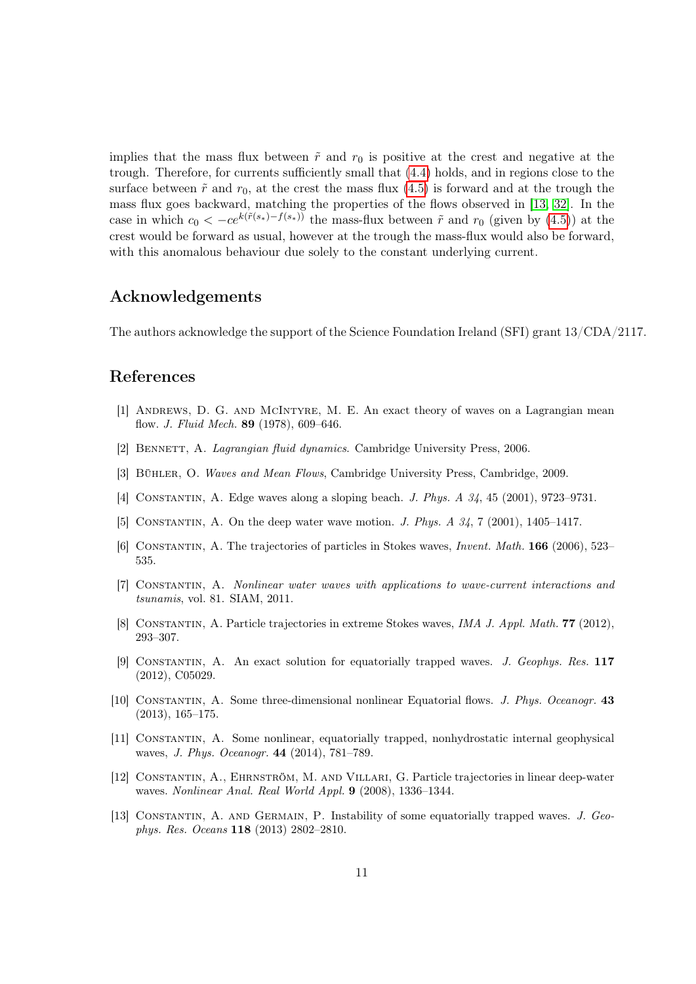implies that the mass flux between  $\tilde{r}$  and  $r_0$  is positive at the crest and negative at the trough. Therefore, for currents sufficiently small that [\(4.4\)](#page-10-2) holds, and in regions close to the surface between  $\tilde{r}$  and  $r_0$ , at the crest the mass flux [\(4.5\)](#page-10-3) is forward and at the trough the mass flux goes backward, matching the properties of the flows observed in [\[13,](#page-11-12) [32\]](#page-13-2). In the case in which  $c_0 < -ce^{k(\tilde{r}(s_*)-f(s_*))}$  the mass-flux between  $\tilde{r}$  and  $r_0$  (given by [\(4.5\)](#page-10-3)) at the crest would be forward as usual, however at the trough the mass-flux would also be forward, with this anomalous behaviour due solely to the constant underlying current.

## Acknowledgements

The authors acknowledge the support of the Science Foundation Ireland (SFI) grant 13/CDA/2117.

# References

- <span id="page-11-4"></span>[1] Andrews, D. G. and McIntyre, M. E. An exact theory of waves on a Lagrangian mean flow. J. Fluid Mech. 89 (1978), 609–646.
- <span id="page-11-6"></span>[2] BENNETT, A. Lagrangian fluid dynamics. Cambridge University Press, 2006.
- <span id="page-11-5"></span>[3] Bühler, O. Waves and Mean Flows, Cambridge University Press, Cambridge, 2009.
- <span id="page-11-7"></span>[4] Constantin, A. Edge waves along a sloping beach. J. Phys. A 34, 45 (2001), 9723–9731.
- <span id="page-11-8"></span>[5] CONSTANTIN, A. On the deep water wave motion. *J. Phys. A 34*, 7 (2001), 1405–1417.
- <span id="page-11-0"></span>[6] Constantin, A. The trajectories of particles in Stokes waves, Invent. Math. 166 (2006), 523– 535.
- <span id="page-11-1"></span>[7] Constantin, A. Nonlinear water waves with applications to wave-current interactions and tsunamis, vol. 81. SIAM, 2011.
- <span id="page-11-2"></span>[8] Constantin, A. Particle trajectories in extreme Stokes waves, IMA J. Appl. Math. 77 (2012), 293–307.
- <span id="page-11-9"></span>[9] Constantin, A. An exact solution for equatorially trapped waves. J. Geophys. Res. 117 (2012), C05029.
- <span id="page-11-10"></span>[10] Constantin, A. Some three-dimensional nonlinear Equatorial flows. J. Phys. Oceanogr. 43 (2013), 165–175.
- <span id="page-11-11"></span>[11] Constantin, A. Some nonlinear, equatorially trapped, nonhydrostatic internal geophysical waves, J. Phys. Oceanogr. 44 (2014), 781–789.
- <span id="page-11-3"></span>[12] Constantin, A., Ehrnström, M. and Villari, G. Particle trajectories in linear deep-water waves. Nonlinear Anal. Real World Appl. 9 (2008), 1336–1344.
- <span id="page-11-12"></span>[13] Constantin, A. and Germain, P. Instability of some equatorially trapped waves. J. Geophys. Res. Oceans 118 (2013) 2802–2810.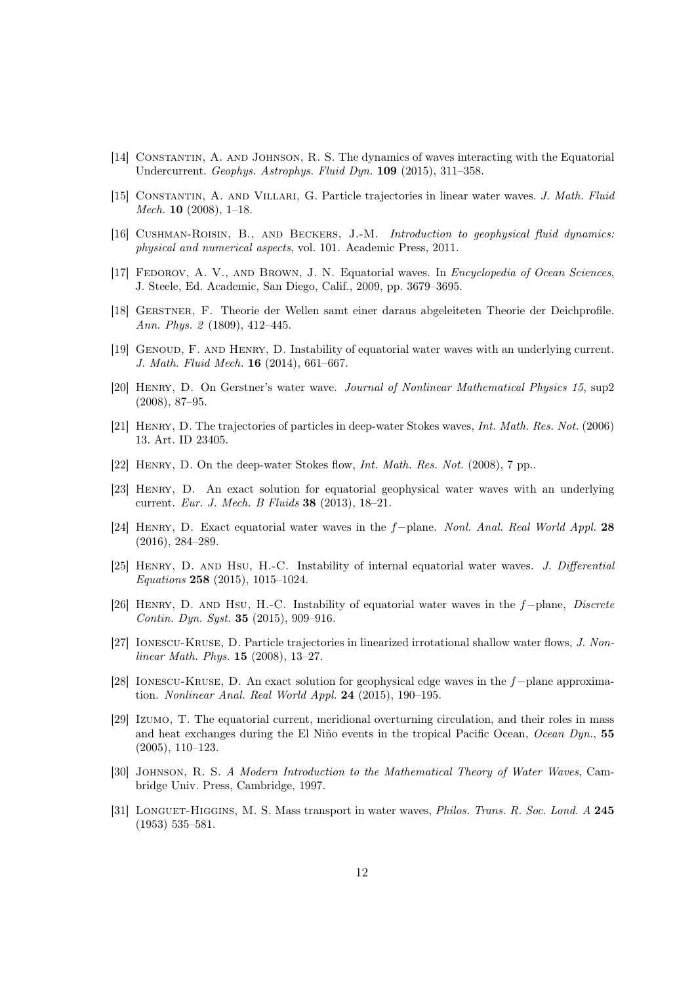- <span id="page-12-7"></span>[14] Constantin, A. and Johnson, R. S. The dynamics of waves interacting with the Equatorial Undercurrent. Geophys. Astrophys. Fluid Dyn. 109 (2015), 311–358.
- <span id="page-12-1"></span>[15] Constantin, A. and Villari, G. Particle trajectories in linear water waves. J. Math. Fluid Mech. 10 (2008), 1–18.
- <span id="page-12-8"></span>[16] CUSHMAN-ROISIN, B., AND BECKERS, J.-M. Introduction to geophysical fluid dynamics: physical and numerical aspects, vol. 101. Academic Press, 2011.
- <span id="page-12-9"></span>[17] FEDOROV, A. V., AND BROWN, J. N. Equatorial waves. In *Encyclopedia of Ocean Sciences*, J. Steele, Ed. Academic, San Diego, Calif., 2009, pp. 3679–3695.
- <span id="page-12-10"></span>[18] Gerstner, F. Theorie der Wellen samt einer daraus abgeleiteten Theorie der Deichprofile. Ann. Phys. 2 (1809), 412–445.
- <span id="page-12-11"></span>[19] Genoud, F. and Henry, D. Instability of equatorial water waves with an underlying current. J. Math. Fluid Mech. 16 (2014), 661–667.
- <span id="page-12-12"></span>[20] Henry, D. On Gerstner's water wave. Journal of Nonlinear Mathematical Physics 15, sup2 (2008), 87–95.
- <span id="page-12-2"></span>[21] Henry, D. The trajectories of particles in deep-water Stokes waves, Int. Math. Res. Not. (2006) 13. Art. ID 23405.
- <span id="page-12-3"></span>[22] Henry, D. On the deep-water Stokes flow, Int. Math. Res. Not. (2008), 7 pp..
- <span id="page-12-6"></span>[23] Henry, D. An exact solution for equatorial geophysical water waves with an underlying current. Eur. J. Mech. B Fluids 38 (2013), 18–21.
- <span id="page-12-17"></span>[24] Henry, D. Exact equatorial water waves in the f−plane. Nonl. Anal. Real World Appl. 28 (2016), 284–289.
- <span id="page-12-13"></span>[25] HENRY, D. AND HSU, H.-C. Instability of internal equatorial water waves. J. Differential Equations 258 (2015), 1015–1024.
- <span id="page-12-14"></span>[26] Henry, D. and Hsu, H.-C. Instability of equatorial water waves in the f−plane, Discrete Contin. Dyn. Syst. 35 (2015), 909–916.
- <span id="page-12-4"></span>[27] Ionescu-Kruse, D. Particle trajectories in linearized irrotational shallow water flows, J. Nonlinear Math. Phys. 15 (2008), 13–27.
- <span id="page-12-15"></span>[28] Ionescu-Kruse, D. An exact solution for geophysical edge waves in the f−plane approximation. Nonlinear Anal. Real World Appl. 24 (2015), 190–195.
- <span id="page-12-16"></span>[29] Izumo, T. The equatorial current, meridional overturning circulation, and their roles in mass and heat exchanges during the El Niño events in the tropical Pacific Ocean, Ocean Dyn., 55 (2005), 110–123.
- <span id="page-12-0"></span>[30] Johnson, R. S. A Modern Introduction to the Mathematical Theory of Water Waves, Cambridge Univ. Press, Cambridge, 1997.
- <span id="page-12-5"></span>[31] LONGUET-HIGGINS, M. S. Mass transport in water waves, *Philos. Trans. R. Soc. Lond. A* 245 (1953) 535–581.